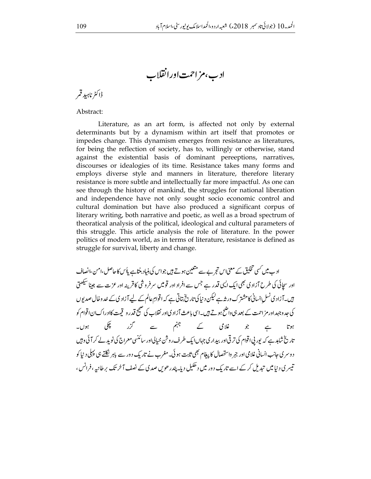ادب،مزاحمت اورانقلاب

ڈاکٹر ناہید قمر

Abstract:

Literature, as an art form, is affected not only by external determinants but by a dynamism within art itself that promotes or impedes change. This dynamism emerges from resistance as literatures, for being the reflection of society, has to, willingly or otherwise, stand against the existential basis of dominant pereeptions, narratives, discourses or idealogies of its time. Resistance takes many forms and employs diverse style and manners in literature, therefore literary resistance is more subtle and intellectually far more impactful. As one can see through the history of mankind, the struggles for national liberation and independence have not only sought socio economic control and cultural domination but have also produced a significant corpus of literary writing, both narrative and poetic, as well as a broad spectrum of theoratical analysis of the political, ideological and cultural parameters of this struggle. This article analysis the role of literature. In the power politics of modern world, as in terms of literature, resistance is defined as struggle for survival, liberty and change.

اد ب میں کسی تخلیق کے معنی اس تجر بے سے متعین ہوتے ہیں جواس کی بنیاد بنتاہے پاُس کاحاصل،امن،انصاف اور سچائی کی طرح آزادی بھی ایک ایپی قدر ہے جس سے افراد اور قومیں سرفروشی کا قرینہ اور عزت سے جینا سیھتی ہیں۔آزادی نسل انسانی کا مشترک ور<sub>شہ</sub>ے لیکن د نیا کی تاریخ بتاتی ہے کہ اقوامِ عالم کے لیے آزاد ی کے خد وخال صدیوں کی جد وجہداور مز احمت کے بعد ہی واضح ہوتے ہیں۔اسی باعث آزاد کیاور نقلاب کی صحیح قدر و قیمت کاادراک ان اقوام کو غلامی کے جہنم سے گزر چکی  $-1$  ) or  $\hat{\mathcal{S}}$  $\subset$ ہوتا تاریخ شاہد ہے کہ یورپی اقوام کی ترقی اور بیداری جہاں ایک طرف روشن خیالی اور سائنسی معراج کی نوید لے کر آئی وہیں د وسر کی جانب انسانی غلامی اور جبر واستحصال کا پیغام بھی ثابت ہو لی۔ مغرب نے تاریک دور سے باہر نکلتے ہی پہلی د نیا کو تیسر ی د نیامیں تبدیل کر کے اسے تاریک دور میں دھکیل دیا۔ پندر حویں صدی کے نصف آخر تک پرطانیہ ، فرانس ،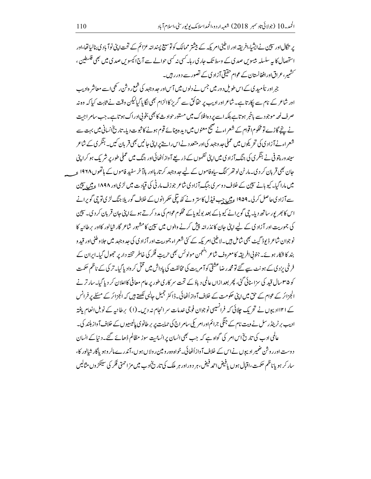پر تگالاور سپین نے ایشیا،افریقہ اور لا طینی امریکہ کے بیشتر ممالک کو توسیع پسندانہ عزائم کے تحت اپنی نوآ باد کی بنالیاتھا،اور استحصال کا یہ سلسلہ بیسوس صدی کے وسط تک جاری رہا۔ گسی نہ کسی حوالے سے آج اکیسوس صدی میں بھی فلسطین ، <sup>سمش</sup>یبر، عراق اورافغانستان کے عوام حقیقی آزاد کی کے تصور سے د ور ری<sub>ٹیں۔</sub>

جبر اور نااُمید کی کے اس طویل د ور میں جس نے دلوں میں آس اور حد وجہد کی شمع روش رکھی اسے معاشر ہادیب اور شاعر کے نام سے پکارتاہے۔شاعر اور ادیب پر حقائق سے گریز کاالزام بھی لگایا گیالیکن وقت نے ثابت کیا کہ وہ نہ صرف لمحہ موجود سے باخبر ہوتاہے بلکہ اسے پر دہافلاک میں مستور حوادث کا بھی بخوتی ادراک ہوتاہے۔جب سامراجیت نے پینچے گاڑے تومحکوم اقوام کے شعراءنے صحیح معنوں میں دید ہیپنائے قوم ہونے کا ثبوت دیا۔ تاریخ انسانی میں بہت سے شعراءنے آزاد کی کی تحریکوں میں عملی حد وجہد کی اور متعدد نےاس راستے برائی جانیں بھی قربان کیں۔ ہنگر کی کے شاعر سیند ور پتو فی نے ہنگر پی کی جنگ آزاد کی میں اپنی نظیوں کے ذریعے آوازاُٹھائی اور جنگ میں عملی طور پر شر یک ہو کراپنی جان بھی قربان کر دی۔مارٹن لوتھر کنگ ساہ فاموں کے لیے حد وجہد کر تار ہااور بالآ خر سفید فاموں کے ہاتھوں ۱۹۶۸ ءِ میں مارا گیا۔ کیو بانے سپین کے خلاف دوسر کی جبگ آزاد کی شاعر جوزف مار ٹی کی قیادت میں لڑیااور ۱۸۹۸ عِمیں سپین سے آزاد کی حاصل کر لی۔۱۹۵۹ عِمیں جب فیڈِل کاستر ونے کٹھ تیلی حکمر انوں کے خلاف گور پلا جنگ لڑی تو چی گویرانے اس کا بھر پور ساتھ دیا۔ چی گویرانے کیو پاکے بعد بولیو پاکے محکوم عوام کی مد د کرتے ہوئےاپنی جان قربان کر دی۔سپین کی جموریت اور آزاد کی کے لیے اپنی جان کا نذرانیہ پیش کرنے والوں میں سپین کا مشہور شاعر گارشالور کااور پر طانیہ کا نوجوان شاعر ڈیوڈ گیٹ بھی شامل ہیں۔لا طینی امر یکہ کے کئی شعراء جموریت اور آزاد کی کی عد وجہد میں جلاوطنی اور قید و بند کا شکار ہوئے۔جنوبی افریقہ کامعروف شاعر بنجمن مولوئس بھی حریت فکر کی خاطر تختہ دار پر جھول گیا۔ایران کے فرخی پزد پ کے ہونٹ سے گئے تو محمد رضاعشقی کوآم پت کی مخالفت کی باداش میں قتل کر واد پاگیا۔تر کی کے ناظم حکمت کو ۳۵سال قید کی سزاسنائی گئی، پھر بعد ازاں عالمی دیاؤ کے تحت سر کار کی طور پر عام معافی کااعلان کر دیا گیا۔سار ترنے الجزائر کے عوام کے حق میں اپنی حکومت کے خلاف آوازاُٹھائی۔ڈاکٹر جمیل جالبی لکھتے ہیں کہ الجزائر کے مسئلے پر فرانس کے ۱۲۱ادیبوں نے تحریک جلائی کہ فرانسیسی نوجوان فوجی غدمات سر انجام نہ دیں۔ (۱) برطانیہ کے نوبل انعام یافتہ ادیب برٹرینڈرسل نے ویت نام کے جنگی جرائماورامر کی سامراج کی حمایت پر بر طانوی پالیسیوں کے خلاف آواز بلند کی۔ عالمی ادب کی تاریخ اس امر کی گواہ ہے کہ جب بھی انسان پر انسانیت سوز مظالم ڈھائے گئے۔دیناکے انسان د وست اور روشن ضمیر ادیپوں نےاس کے خلاف آوازاُٹھائی۔خواہ وہ رومین رولاں ہوں، آندرے مالر وہو پاگارشالور کا، سار کر ہو باناظم حکمت ،اقبال ہوں یافیفن احمہ فیض، ہر دوراور ہر ملک کی تاریخادے میں مزاحمتی فکر کی سینکڑوں مثالیں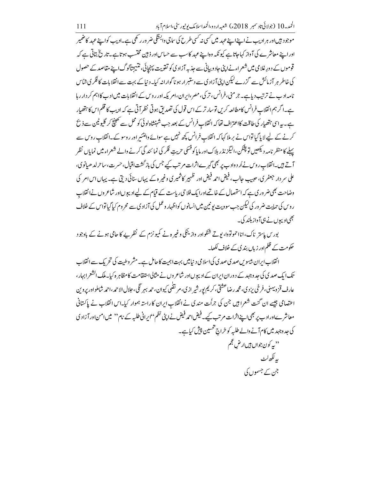موجود <del>بی</del>ںاور ہر ادیب نے اپنے اپنے عہد میں <sup>کس</sup>ی نہ <sup>کس</sup>ی طرح کی ساجی وابسَّگی ضر ور رکھی ہے۔ادیب کواپنے عہد کاضمیر اوراینے معاشرے کی آواز کہاجاتاہے کیونکہ وہاپنے عہد کاسب سے حساس اور ذبین مختسب ہوتاہے۔تاریخ بتاتی ہے کہ قوموں کے دورِ غلامی میں شعراءنےا پیْ جاد و بیانی سے جذبہ آزاد کی کو تقویت پہنچائی، نتیجتاگوگ اپنے مقاصد کے حصول کی خاطر ہر آزمائش سے گزرے لیکن اپنی آزاد کیسے دستبرار ہو ناگوارانہ کیا۔د نیاکے بہت سے انقلابات کا فکر کی شاس نامہ ادب نے ترتیب دیاہے۔ جرمنی، فرانس، تر کی، مصر،ایران،امریکہ اور روس کے انقلابات میں ادب کااہم کر دار رہا ہے۔اگر ہم انقلاب فرانس کامطالعہ کریں تو سار تر کے اس قول کی تصدیق ہوتی نظر آتی ہے کہ ادیب کا قلم اس کا ہتھیار ہے۔ یہ اسی ہتھیار کی طاقت کااعتراف تھا کہ انقلاب فرانس کے بعد جب شہنشاہ لوئی کو محل سے تھینچ کر گلیوٹین سے ذ بح کرنے کے لیے لایا گیاتواس نے برملا کہا کہ انقلاب فرانس کچھ نہیں ہے سوائے وامنٹئیر اور روسو کے۔انقلاب روس سے پہلے کا منظر نامہ دیکھیں تو پشکن،الیگز نڈر بلاکاور مایا کوفسکی حریت فکر کی نما ئند گی کرنے والے شعراء میں نمایاں نظر آتے ہیں۔انقلاب روس نےاُر دواد ب پر بھی گہرےاثرات مرتب کیے جس کی باز گشت اقبال،حسرت،ساحر لد ھیانوی، علی سر دار جعفر ی، حبیب جالب، فیض احمہ فیض اور ظہیر کاشمیر کی وغیر ہ کے یہاں سنائی دیتی ہے۔ یہاں اس امر کی وضاحت بھی ضر وری ہے کہ استحصال کے خاتمے اورایک فلاحی ریاست کے قیام کے لیے ادیپوں اور شاعر وں نے انقلاب ر وس کی حمایت ضر ور کی کیکن جب سوویت یو نبین میں انسانوں کواظہار و عمل کی آزاد ی سے محروم کیا گیاتواس کے خلاف <u> بھی ادیپوں نے ہی آواز بلند کی۔</u>

بور س پاستر ناک، انااحموتووا، بوتے شنکو اور واز ینکی وغیر ہ نے کمیو نزم کے نظریے کا حامی ہونے کے باوجود حکومت کے ظلم اور زباں بندی کے خلاف لکھا۔

انقلاب ایران بیسوس صد ی صد ی کی اسلامی دینامیں بہت اہمیت کا حامل ہے۔مشر وطبیت کی تحریک سے انقلاب تک ایک صدی کی جد وجہد کے دوران ایران کے ادیپوں اور شاعر وں نے مثالیا استقامت کا مظاہر ہ کیا۔ ملک انشعر ابہار ، عار ف قز دیهنی، فرخی پزد ی، محمه ر ضاعشقی، کریم پور شیر از ی، مر تضی کیوان، حمه بهر نگی، حلال الاحمه،احمه شاملواور پروین اعتصامی جیسے ان گنت شعرا ہیں جن کی جراُت مند کی نے انقلاب ایران کا راستہ ہموار کیا۔اس انقلاب نے پاکستانی معاشر ےاوراد ب پر بھی اپنےاثرات مرتب کیے۔فیض احمد فیض نےاپنی نظم''اپرانی طلبہ کے نام'' میں امن اور آ زاد ی کی حد وجہد میں کام آنے والے طلبہ کو خراج تحسین پیش کیاہے۔ ''به کون جواں ہیںار ض<sup>عج</sup>م ببرلكھ لٹ جن کے جسموں کی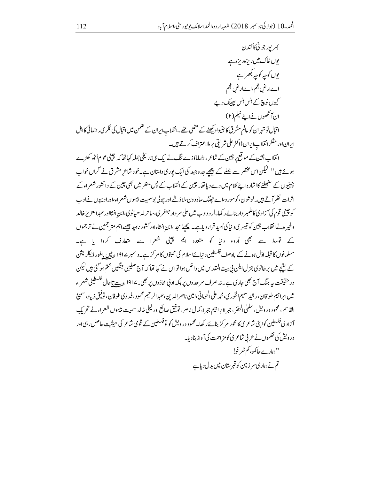بھر پورجوانی کاکندن یوں خاک میں ریزہ ریزہ ہے يوں کوچہ کوچہ بکھراہے اےار ض عجم،اےار ض عجم کیوں نوچ کے ہنس ہنس پھینک دیے ان آنگھوں نےاپنے نیکم (۲) اقبال تو تہر ان کو عالم مشرق کا حبنیواد کیھنے کے متنی تھے۔انقلاب ایران کے ضمن میں اقبال کی فکر کی رہنمائی کااہل

ايراناور مفكرانقلاب ايران ڈاکٹر على شريقى بر ملااعتراف کرتے ہيں۔

انقلاب چین کے موقع پر چین کے شاعر رہنماماؤزے ننگ نےایک ہی تاریخی جملہ کہاتھا کہ چینی عوام اُٹھ کھڑے ہوئے ہیں '' لیکن اس مختصر سے جملے کے پیچھے حدوجہد کی ایک بوری داستان ہے۔خود شاعر مشرق نے گراں خواب چینیوں کے سنبھلنے کااشارہاپنے کلام میں دے دیا تھا۔چین کے انقلاب کے لپں منظر میں بھی چین کے دانشور شعراءکے اثرات نظر آتے ہیں۔لوشون،کومور و،اے حیجنگ،ماؤد ون،لاؤث اور چولی بوسمیت بیسوں شعراء،اورادیوں نےادب کو چینی قوم کی آزاد کی کاعلمبر دار بنائےر کھا۔اُرد واد ب میں علی سر دار جعفر <sub>کی</sub>،ساحرلد ھیانوی،ابن انشااور عبدالعز پزخالد وغیر ہ نے انقلاب چین کو تیسر ی د نیا کی اُمید قرار دیاہے۔ پچسامحد ،ابن انشاءادر کشور ناہید جیسے اہم متر جمین نے تر جموں کے لوسط سے بھی اُردو دنیا کو متعدد ایم چینی شعرا سے متعارف کروا یا ہے۔ مسلمانوں کا قبلہ اڈل ہونے کے بادصف فلسطین دینائےاسلام کی محبتوں کامر کر ہے۔دسمبر ۱۹۱۷ ءمیں بالفور ڈیکلریشن کے بنتیجے میں برطانوی جزل ایلن پی بیت المقدس میں داخل ہوا تواس نے کہا تھا کہ آج صلیبی جنگیں ختم ہو گئی ہیں لیکن در حقیقت ہے جنگ آج بھی جاری ہے۔نہ صرف سر حدوں پر بلکہ ادنی محاذ وں پر بھی۔191⁄2 عت تاحال فلسطینی شعراء میں ابرا ہیم طو قان،رشید سلیم الخور ی، محمه علی الحومانی،امین ناصر الدین،عبد الرحیم محمود ، فد لوی طوفان، توفیق زیاد ، سمیع القاسم، محمود در ویش، سلمٰی الحضر ، جبر اابراہیم جبرا، کمال ناصر ، توفیق صائع اور لیلی خالد سمیت بیسوں شعراءنے تحریک ۔<br>آزاد کی فلسطین کوایڈی شاعر کی کا محور م کزبنائے رکھا۔محمود درویش کو تو فلسطین کے قومی شاعر کی حیثیت حاصل رہی <sub>ا</sub>ور درویش کی نظموں نے عربی شاعر ی کومز احمت کی آواز بنادیا۔ ''ہمارے جا کمو ، **کم ظرفو!** تم نے ہماری سر زمین کو قبر ستان میں بدل دیاہے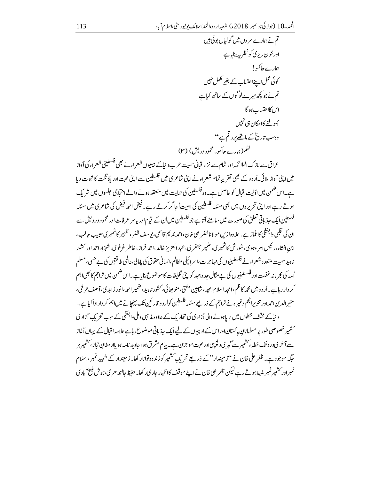عراق سے نازک الملا ئکہ اور شام سے نزار قبانی سمیت عرب د نباکے بیسیوں شعر اءنے بھی فلسطینی شعر اء کی آ واز میں اپنی آواز ملائی۔اُر دو کے بھی تقریباتمام شعراء نے اپنی شاعر ی میں فلسطین سے اپنی محبت اور یگائکت کا ثبوت دیا ہے۔اس ضمن میں اڈلیت اقبال کو حاصل ہے۔وہ فلسطین کی حمایت میں منعقد ہونے والے احتجاجی حلسوں میں شریک ہوتے رہے اور اپنی تحریر وں میں بھی مسّلہ فلسطین کی اہمیت اُجا گر کرتے رہے۔فیض احمہ فیض کی شاعر کی میں مسّلہ فلسطین <sub>ایک</sub> جذباتی تعلق کی صورت میں سامنے آتاہے جو فلسطین میں اُن کے قیام اور پاسر عرفات اور محمود در ویش سے ان کی قلبی وابسَّگی کاغماز ہے۔علاوہ از س مولا نا ظفر علی خان،احمہ ندیم قاسمی،یوسف ظفر ، ظہیر کاشمیر ی حیب حالب، ابن انشاء،رئیس امر وہو ی، شورش کاشمیر ی، ضمیر حعفر ی،عبد العزیز خالد،احمد فراز،خاطر غزنوی، شہز اد احمد اور کشور ناہبد سمیت متعدد شعراءنے فلسطینیوں کی مہاجرت،اسرائیلی مظالم،انسانی حقوق کی بامالی،عالمی طاقتیں کی بے حسی،مسلم اُمہ کی مجرمانہ غفلت اور فلسطینیوں کی بے مثال جد وجہد کواپنی تخلیقات کاموضوع بنایاہے۔اس ضمن میں تراجم کا بھی١ہم کر دار رہاہے۔اُر د و میں محمہ کاظم ،امجد اسلام امجد ، شاہین مفتی، منو بھائی، کشور ناہید، ضمیر احمہ ،انور زاہدی، آصف فرخی، منیرالدین احمداور تنویرانجم وغیر ہ نے تراجم کے ذریعے مسئلہ فلسطین کواُر د و قار ئین تک پہنچانے میں اہم کر دارادا کیاہے۔ د نیاکے مخلف خطوں میں پر پاہونے والی آزاد کی کی تجار یک کے علاوہ مذہبی وملی وابسَّگی کے سب تحر یک آزاد کی ۔<br>سشیر خصوصی طور پر مسلمانان پاکستاناوراس کے ادیبوں کے لیےایک جذباتی موضوع رہاہے علامہ اقبال کے یہاں آغاز سے آ خری در د تک خطہ ءکشمیر سے گہر ی دلچپپی اور محبت مو جزن ہے۔ یہام مشر ق ہو ،حاوید نامہ ہو باار مغان تجاز ، کشمیر ہر حگیہ موجود ہے۔ ظفر علی خان نے ''زمیندار''کے ذریعے تحریک سشیر کو زندہ ولوانار کھا۔زمیندار کے شہید نمبر ،اسلام نمبراور سشیمرنمبر ضبط ہوتے رہے کیکن ظفر علی خان نے اپنے موقف کااظہار جار کی رکھا۔حفیظ جالند حری،جوش ملیح آباد ی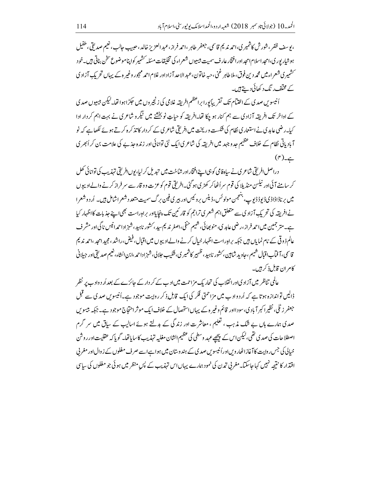، يوسف ظفر ، شور ش كاشمير ي،احمه نديم قاسمي، جعفر طاهر ،احمه فراز،عبدالعزيز خالد، حييب حالب، نعيم صد لقي طفيل ہوشیار پور ی،امجداسلام امجداور افتخار عارف سمیت بیسیوں شعراء کی تخلیقات مسکلہ سشمیر کواپناموضوع سخن بناتی ہیں۔خود حشمیری شعراء میں محم*د* دین فوق، ملاطاہر غنی، <sub>حسبہ</sub> خاتون،عبدالا حد آزاد اور غلام احم*ہ مہج*ور وغیر ہ کے پہاں تحریکِ آزاد ک کے مختلف ر نگ د کھائی دیتے ہیں۔

اُنیسویں صدی کے اختیام تک تقریباً پورا براعظم افریقہ غلامی کی زنجیروں میں حکِرُاہوا تھا۔کیکن بیبیوں صدی کے اواخر تک افریقہ آزاد کی سے ہم کنار ہو چکا تھا۔افریقہ کو حیاتِ نو بخشنے میں نیگر و شاعر کی نے بہت اہم کر دار ادا کیا۔رضی عابد کی نے استعمار کی نظام کی شکست وریخت میں افریقی شاعر کی کے کر دار کا تذکرہ کرتے ہوئے لکھاہے کہ نو آبادیاتی نظام کے خلاف عظیم جدو جہد میں افریقہ کی شاعری ایک نئی توانائی اور زندہ جذبے کی علامت بن کر اُبھر ی  $(r)$ ے۔

دراصل افریقی شاعری نے ساہفامی کو ہی اپنےافتخاراور شاخت میں تبدیل کر لیا،یوںافریقی تہذیب کی توانائی کھل کر سامنے آئی اور نیلس منڈ پلا کی قوم سر اُٹھاکر کھڑی ہو گئی۔افریقی قوم کوعزت وو قار سے سر فراز کرنے والےادیپوں میں برناڈاڈاڈی ڈیوڈڈیوپ، بننجمن مولوئس،ڈینس بروئیس اور بیری فین برگ سمیت متعد دشعراشامل ہیں۔ اُر دوشعرا نےافریقہ کی تحریکِ آزاد ک سے متعلق اہم شعر کی تراجم کو قار ئین تک پنجایلاور براہِ راست بھی اپنے جذبات کااظہار کیا ہے۔متر جمین میں احمد فراز،ر ضی عابد ی، منو بھائی، شیم حنفی،اصغر ندیم سید، سشور ناہید، شہزاد احمدانیس ناگی اور مشر ف عالم ذ وقی کے نام نمایاں ہیں جبکہ پراہ راست اظہار خیال کرنے والے ادیپوں میں اقبال، فیض،راشد، مجید امحد ،احمد ندیم قاسمي،آ فمآباقيال شيم،حاويد شابين، َسشور ناہيد، ظهير کاشمير کي،شکيپ حلالي،شهزاداحمہ،ابن انشاء، نعيم صديقي اور جبلاني کام ان قابل ذکر ہیں۔

عالمی تناظر میں آزاد یااورانقلاب کی تحاریک مزاحمت میں ادب کے کر دار کے جائزے کے بعد اُر د وادب پر نظر ڈالیں تواندازہ ہوتا ہے کہ اُردوادب میں مزاحمتی فکر کی ایک قابلِ ذِکر روایت موجود ہے۔اُنیسویں صدی سے قبل جعفر زٹلی، نظیرا کبر آباد ی،سودااور قائم وغیر ہ کے یہاںاستحصال کے خلاف ایک موثر احتجاج موجود ہے۔جبکہ بیسو س صدی ہمارے ہاں بے شک مذہب ، تعلیم ، معاشر ت اور زندگی کے بدلتے ہوئے اسالیپ کے ساق میں سر گرم اصطلاحات کی صدی تھی،لیکن اس کے پیچھے عہد وسطی کی عظیم الشان مغلبہ تہذیب کاسا ماتھا۔ گو پاکہ عقلیت اور روشن خیالی کی جس روایت کا آغازاٹھار ویںاوراُ نیسوس صد کی کے ہندوستان میں ہواہےاسے صرف مغلوں کے ز وال اور مغربی اقتذار کا نتیجہ نہیں کہاجاسکتا۔مغربی تمدن کی نمود ہمارے یہاں اس تہذیب کے پس منظر میں ہوئی جو مغلوں کی سایپ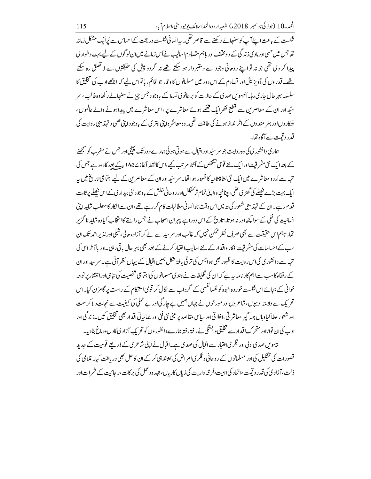۔<br>شکست کے باعث اپنے آپ کوسنبھالےرکھنے سے قاصر تھی۔ یہ انسانی شکست وریخت کے احساس سے پُرایک مشکل زمانہ تھاجس میں حسی اور مادی زندگی کے د ومختلف اور باہم متصادم اسالیب نےاُس زمانے میں ان لو گوں کے لیے بہت د شوار ی پیدا کر دی تھی جو نہ تواپنے روحانی وجود سے دستبر دار ہو سکتے تھے نہ گردو پیش کی حقیقتوں سے لاتعلق رہ سکتے تھے۔قدر دں کی آویزیش اور تصادم کے اس دور میں مسلمانوں کا و قار جو قائم رہاتواس لیے کہ اچھے ادب کی تخلیق کا سلسلہ بہر حال حار کی رہا۔اُنیسوس صدی کے حالات کو برطانوی تسلط کے باوجود جس چز نے سنبھالے رکھاوہ غالب ، سر سیّد اور ان کے معاصریٰن سے قطع نظر ایک تھکے ہوئے معاشرے پر ،اس معاشرے میں پیدا ہونے والے عالموں ، فنکاروںاور ہنر مندوں کے اثرانداز ہونے کی طاقت تھی۔وہ معاشر ہاپنی ابتر کی کے باوجود اپنی علمی و تہذیبی روایت کی قدروقيت سے آگاہ تھا۔

ہمار کی دانشور کی کی وہر واپت جو سر سٹیداور اقبال سے ہو تی ہو ئی ہمارے د ور تک پہنچی اور جس نے مغرب کو سمجھنے کے بعدا یک نئی مشرقیت اور ایک نئے قومی تشخص کے آثار مرتب کیے،اس کانقطہ آغازے ۱۸۵ ع کے بعد کاد ور ہے جس کی تہہ سے اُر دو معاشر ے میں ایک نئی نشاۃ ثانیہ کا ظہور ہوا تھا۔ سر سیّداور ان کے معاصرین کے لیے اجتماعی تاریخ میں ہہ ایک بہت بڑے فیصلے کی گھڑ کی تھی، چنانچہ وہاپنی تمام تر کشکش اور روحانی خلش کے باوجو د نئی بیدار کی کے اس فیصلے پر ثابت قدم رہے۔ان کے تہذیبی شعور کی تہ میں اس وقت جوانسانی مطالبات کام کر رہے تھے،ان سے انکار کامطلب شاید اپنی انسانیت کی نفی کے سوا کچھ اور نہ ہوتا۔تاریخ کے اس دوراہے پہران اصحاب نے جس راستے کاانتخاب کیاوہ شاید نا گزیر تھا۔تاہم اس حقیقت سے بھی صرف نظر ممکن نہیں کہ غالب اور سر سد سے لے کر آزاد ،حالی، شلی اور نذیر احمد تک ان سپ کے احساسات کی مشر قت افکار واقدار کے نئے اسالیب اختیار کرنے کے بعد بھی بہر جال باقی رہی۔اور بالا خراسی کی تہہ سے دانشوری کی اس روایت کا ظہور بھی ہوا جس کی تر قی یافتہ شکل ہمیں اقبال کے یہاں نظر آتی ہے۔ سر سیداور ان کے رفقاء کاسب سے اہم کار نامہ ہہ ہے کہ ان کی تخلیقات نے ہندی مسلمانوں کی اجتماعی شخصیت کی تباہی اورانتشار پر نوحہ خوانی کے بجائےاس فنکست خور دہ انبوہ کو نفسانفسی کے گرداب سے نکال کر قومی استرکام کے راست پر گامز ن کیا۔اس تحریک سے وابستہ ادیپوں، شاعر وں اور مورخوں نے جہاں ہمیں بے جار گی اور بے عملی کی کیفیت سے نجات دلا کر سمت اور شعور عطا کیاوہاں ہمہ گیر معاشر تی،اخلاقی اور سایپ مقاصد پر مبنی نئی فنی اور جمالیاتی اقدار بھی تخلیق کیں۔زندگی اور ادب کی ان توانااور متحرک اقدار سے تخلیقی دابستگی نے رفتہ رفتہ ہمارے دانشور وں کو تحریک آزاد ی کادل ود ماغ بنادیا۔ بیسوس صدیادبی اور فکریاعتبار سے اقبال کی صدی ہے۔اقبال نے اپنی شاعری کے ذریعے قومیت کے حدید تصورات کی تفکیل کی اور مسلمانوں کے روحانی و فکر کی ام اض کی نشاند ہی کر کے ان کا حل بھی دریافت کیا۔غلامی کی ذلت،آزادی کی قدر وقیت،اتحاد کی اہمیت،فرقہ واریت کی زیاں کاریاں،جہد ووعمل کی برکات،ر جائیت کے ثمر ات اور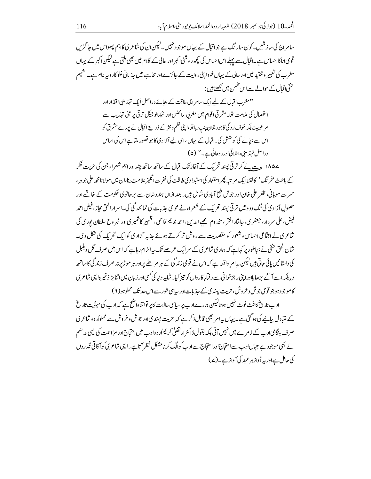سامر اج کی ساز شیں۔کون سار نگ ہے جواقبال کے پہاں موجود نہیں۔لیکن ان کی شاعر ی کااہم پہلواس میں حا گز ں قومی اناکااحساس ہے۔اقبال سے پہلے اس احساس کی کچھ روشنی اکبر اور حالی کے کلام میں بھی ملتی ہے لیکن اکبر کے پہاں مغرب کی تعبیر و تنقید میں اور حالی کے یہاں خو داپنی روایت کے حائزےاور محاسبے میں حذیاتی غلو کار وبیہ عام ہے۔ شیم حنفی اقبال کے حوالے سے اس ضمن میں لکھتے ہیں :

> ''مغرب اقبال کے لیے ایک سام اجی طاقت کے بجائے دراصل ایک تہذیبی اقتدار اور استحصال کی علامت تھا۔مشر قی اقوام میں مغربی سائنس اور ٹیکنالوجیکل ترقی پر مبنی تہذیب سے م عوبیت بلکہ خوف زد گی کاجور جحان پنپ رہاتھا،اپنی نظم ونثر کے ذریعے اقبال نے یورے مشرق کو اس سے بجانے کی کوشش کی۔اقبال کے پہاں ،اسی لیے آزاد کی کا جو تصور ملتا ہے اس کی اساس دراصل تہذیبی،اخلاقی اور روحانی ہے۔" (۵)

۱۸۵۷ ع سے لے کر تر قی پسند تحریک کے آغاز تک اقبال کے ساتھ ساتھ چنداور اہم شعراء جن کی حریت فکر کے باعث 'فرینگ' کالفظایک م تبہ پھراستعار کیااستیداد کی طاقت کی نفرت انگیز علامت بنا،ان میں مولانامجمہ علی جوہر، حسرت موہانی، ظفر علی خان اور جوش ملیح آباد کی شامل ہیں۔بعد ازاں ہندوستان سے پر طانوی حکومت کے خاتمے اور حصولِ آزاد کی کی تگ ود و میں تر قی پسند تحریک کے شعراء نے عوامی جذبات کی نمائند گی کی۔اسرار الحق محاز ، فیض احمه فیض، علی سر دار، جعفر ی، جانثار اختر ، مخد وم صحیے الدین ،احمه ندیم قاسمی ، ظہیر کاشمیر ی اور مجر وح سلطان پوری کی شاعری نے اجتماعی احساس و شعور کو مقصدیت سے روشن تر کرتے ہوئے جذبہ آزاد کی کوایک تحریک کی شکل دی۔ شان الحق حنفی نے بجاطور پر کہاہے کہ ہماری شاعری کے سرایک عرصے تک پی<sub>ہ</sub>الزام رہاہے کہ اس میں صرف گل وہلبل کی داستانیں پائی جاتی ہیں لیکن یہ امر واقعہ ہے کہ اس نے قومی زندگی کے ہر مر چلے پراور ہر موڑ پر نیہ صرف زندگی کاساتھ د پابلکہ اسے آگے بڑھایااورا پنی ر جزخوانی سے ر فمارِ کارواں کو تیز کیا۔شاید د نیا کی گسی اور زیان میں اتنا بڑاذ خیر ہ ایپی شاعر ی کاموجود ہوجو قومی جوش و خروش، حریت پسند کی کے حذیات اور ساسی شور سے اس حد تک مملوہو(۲)

اد ب تاریخ کا فٹ نوٹ نہیں ہو تالیکن ہمارےاد ب پر ساسی حالات کاپر تواتناواضح ہے کہ ادب کی حیثیت تاریخ کے متبادل بیانے کی ہوگئی ہے۔ یہاں پیرام بھی قابل ذکرے کہ حریت پیندیااور جوش و خروش سے مملواُر د و شاعر ی صرف ہنگامی ادب کے ز مرے میں نہیں آتی بلکہ بقول ڈاکٹر ارتضیٰ کر یم اُر دوادب میں احتجاج اور مز احمت کی ایپی مدھم لے بھی موجود ہے جہاںادب سے احتجاج اوراحتجاج سے ادب کوالگ کر نامشکل نظر آتاہے۔الیپی شاعر ی کو آفاقی قدر وں کی حامل ہےاور یہ آواز ہر عبد کی آواز ہے۔(ے)